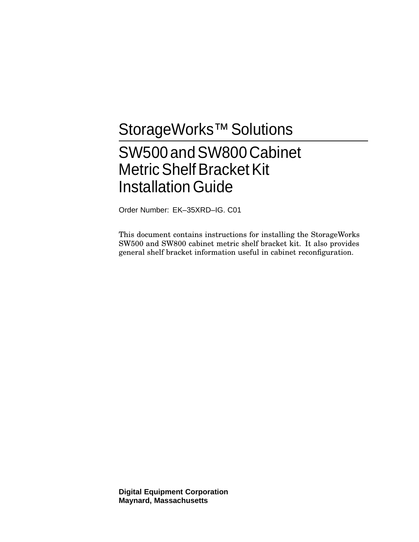# StorageWorks<sup>™</sup> Solutions

# SW500 and SW800 Cabinet **Metric Shelf Bracket Kit Installation Guide**

Order Number: EK–35XRD–IG. C01

This document contains instructions for installing the StorageWorks SW500 and SW800 cabinet metric shelf bracket kit. It also provides general shelf bracket information useful in cabinet reconfiguration.

**Digital Equipment Corporation Maynard, Massachusetts**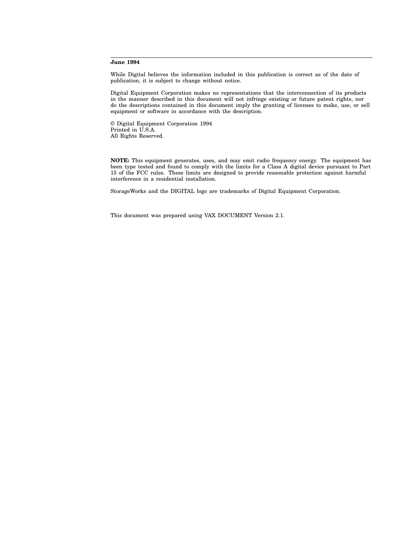#### **June 1994**

While Digital believes the information included in this publication is correct as of the date of publication, it is subject to change without notice.

Digital Equipment Corporation makes no representations that the interconnection of its products in the manner described in this document will not infringe existing or future patent rights, nor do the descriptions contained in this document imply the granting of licenses to make, use, or sell equipment or software in accordance with the description.

© Digital Equipment Corporation 1994 Printed in U.S.A. All Rights Reserved.

**NOTE:** This equipment generates, uses, and may emit radio frequency energy. The equipment has been type tested and found to comply with the limits for a Class A digital device pursuant to Part 15 of the FCC rules. These limits are designed to provide reasonable protection against harmful interference in a residential installation.

StorageWorks and the DIGITAL logo are trademarks of Digital Equipment Corporation.

This document was prepared using VAX DOCUMENT Version 2.1.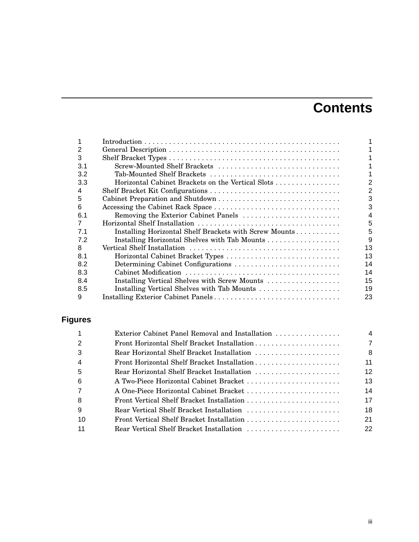# **Contents**

| 2   |                                                        |    |
|-----|--------------------------------------------------------|----|
| 3   |                                                        |    |
| 3.1 | Screw-Mounted Shelf Brackets                           |    |
| 3.2 | Tab-Mounted Shelf Brackets                             |    |
| 3.3 | Horizontal Cabinet Brackets on the Vertical Slots      |    |
| 4   |                                                        | 2  |
| 5   |                                                        | 3  |
| 6   |                                                        | 3  |
| 6.1 |                                                        | 4  |
| 7   |                                                        | 5  |
| 7.1 | Installing Horizontal Shelf Brackets with Screw Mounts | 5  |
| 7.2 |                                                        | 9  |
| 8   |                                                        | 13 |
| 8.1 |                                                        | 13 |
| 8.2 | Determining Cabinet Configurations                     | 14 |
| 8.3 |                                                        | 14 |
| 8.4 | Installing Vertical Shelves with Screw Mounts          | 15 |
| 8.5 | Installing Vertical Shelves with Tab Mounts            | 19 |
| 9   |                                                        | 23 |

# **Figures**

| $\mathbf{1}$   | Exterior Cabinet Panel Removal and Installation | 4  |
|----------------|-------------------------------------------------|----|
| 2              |                                                 | 7  |
| 3              | Rear Horizontal Shelf Bracket Installation      | 8  |
| $\overline{4}$ | Front Horizontal Shelf Bracket Installation     | 11 |
| 5              | Rear Horizontal Shelf Bracket Installation      | 12 |
| 6              | A Two-Piece Horizontal Cabinet Bracket          | 13 |
| $\overline{7}$ | A One-Piece Horizontal Cabinet Bracket          | 14 |
| 8              |                                                 | 17 |
| 9              | Rear Vertical Shelf Bracket Installation        | 18 |
| 10             |                                                 | 21 |
| 11             | Rear Vertical Shelf Bracket Installation        | 22 |
|                |                                                 |    |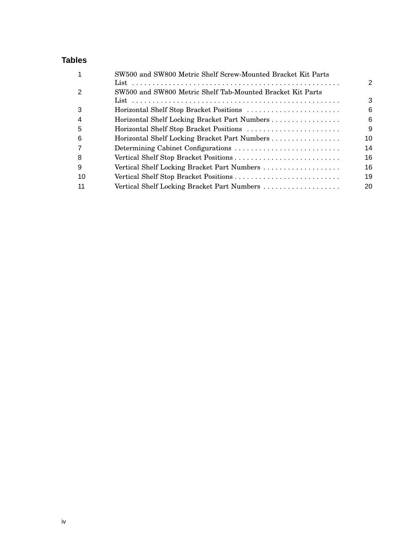# **Tables**

|     | SW500 and SW800 Metric Shelf Screw-Mounted Bracket Kit Parts |                |
|-----|--------------------------------------------------------------|----------------|
|     |                                                              | $\mathfrak{p}$ |
|     | SW500 and SW800 Metric Shelf Tab-Mounted Bracket Kit Parts   |                |
|     |                                                              | 3              |
| 3   | Horizontal Shelf Stop Bracket Positions                      | 6              |
| 4   | Horizontal Shelf Locking Bracket Part Numbers                | 6              |
| 5   | Horizontal Shelf Stop Bracket Positions                      | $\mathbf{Q}$   |
| -6  | Horizontal Shelf Locking Bracket Part Numbers                | 10             |
|     | Determining Cabinet Configurations                           | 14             |
| 8   |                                                              | 16             |
| 9   | Vertical Shelf Locking Bracket Part Numbers                  | 16             |
| -10 |                                                              | 19             |
|     |                                                              | 20             |
|     |                                                              |                |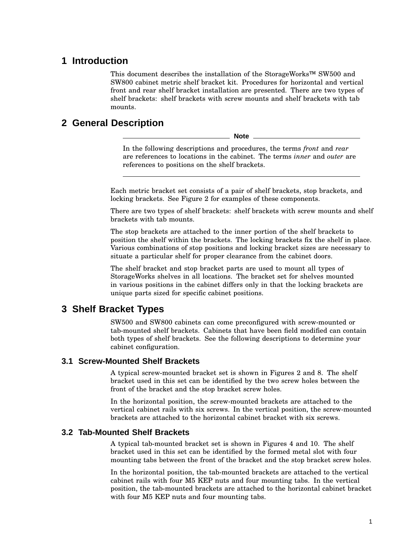## **1 Introduction**

This document describes the installation of the StorageWorks™ SW500 and SW800 cabinet metric shelf bracket kit. Procedures for horizontal and vertical front and rear shelf bracket installation are presented. There are two types of shelf brackets: shelf brackets with screw mounts and shelf brackets with tab mounts.

# **2 General Description**

**Note**

In the following descriptions and procedures, the terms *front* and *rear* are references to locations in the cabinet. The terms *inner* and *outer* are references to positions on the shelf brackets.

Each metric bracket set consists of a pair of shelf brackets, stop brackets, and locking brackets. See Figure 2 for examples of these components.

There are two types of shelf brackets: shelf brackets with screw mounts and shelf brackets with tab mounts.

The stop brackets are attached to the inner portion of the shelf brackets to position the shelf within the brackets. The locking brackets fix the shelf in place. Various combinations of stop positions and locking bracket sizes are necessary to situate a particular shelf for proper clearance from the cabinet doors.

The shelf bracket and stop bracket parts are used to mount all types of StorageWorks shelves in all locations. The bracket set for shelves mounted in various positions in the cabinet differs only in that the locking brackets are unique parts sized for specific cabinet positions.

# **3 Shelf Bracket Types**

SW500 and SW800 cabinets can come preconfigured with screw-mounted or tab-mounted shelf brackets. Cabinets that have been field modified can contain both types of shelf brackets. See the following descriptions to determine your cabinet configuration.

## **3.1 Screw-Mounted Shelf Brackets**

A typical screw-mounted bracket set is shown in Figures 2 and 8. The shelf bracket used in this set can be identified by the two screw holes between the front of the bracket and the stop bracket screw holes.

In the horizontal position, the screw-mounted brackets are attached to the vertical cabinet rails with six screws. In the vertical position, the screw-mounted brackets are attached to the horizontal cabinet bracket with six screws.

## **3.2 Tab-Mounted Shelf Brackets**

A typical tab-mounted bracket set is shown in Figures 4 and 10. The shelf bracket used in this set can be identified by the formed metal slot with four mounting tabs between the front of the bracket and the stop bracket screw holes.

In the horizontal position, the tab-mounted brackets are attached to the vertical cabinet rails with four M5 KEP nuts and four mounting tabs. In the vertical position, the tab-mounted brackets are attached to the horizontal cabinet bracket with four M5 KEP nuts and four mounting tabs.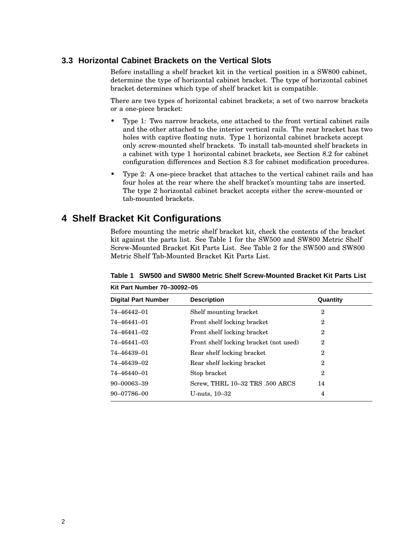## **3.3 Horizontal Cabinet Brackets on the Vertical Slots**

Before installing a shelf bracket kit in the vertical position in a SW800 cabinet, determine the type of horizontal cabinet bracket. The type of horizontal cabinet bracket determines which type of shelf bracket kit is compatible.

There are two types of horizontal cabinet brackets; a set of two narrow brackets or a one-piece bracket:

- Type 1: Two narrow brackets, one attached to the front vertical cabinet rails and the other attached to the interior vertical rails. The rear bracket has two holes with captive floating nuts. Type 1 horizontal cabinet brackets accept only screw-mounted shelf brackets. To install tab-mounted shelf brackets in a cabinet with type 1 horizontal cabinet brackets, see Section 8.2 for cabinet configuration differences and Section 8.3 for cabinet modification procedures.
- Type 2: A one-piece bracket that attaches to the vertical cabinet rails and has four holes at the rear where the shelf bracket's mounting tabs are inserted. The type 2 horizontal cabinet bracket accepts either the screw-mounted or tab-mounted brackets.

# **4 Shelf Bracket Kit Configurations**

Before mounting the metric shelf bracket kit, check the contents of the bracket kit against the parts list. See Table 1 for the SW500 and SW800 Metric Shelf Screw-Mounted Bracket Kit Parts List. See Table 2 for the SW500 and SW800 Metric Shelf Tab-Mounted Bracket Kit Parts List.

| Kit Part Number 70–30092–05 |                                        |                |  |
|-----------------------------|----------------------------------------|----------------|--|
| <b>Digital Part Number</b>  | <b>Description</b>                     | Quantity       |  |
| 74-46442-01                 | Shelf mounting bracket                 | 2              |  |
| 74-46441-01                 | Front shelf locking bracket            | $\overline{2}$ |  |
| 74–46441–02                 | Front shelf locking bracket            | $\mathbf 2$    |  |
| 74–46441–03                 | Front shelf locking bracket (not used) | $\mathbf 2$    |  |
| 74–46439–01                 | Rear shelf locking bracket             | 2              |  |
| 74–46439–02                 | Rear shelf locking bracket             | 2              |  |
| 74-46440-01                 | Stop bracket                           | $\overline{2}$ |  |
| 90-00063-39                 | Screw, THRL 10-32 TRS .500 ARCS        | 14             |  |
| 90-07786-00                 | U-nuts, $10-32$                        | 4              |  |

**Table 1 SW500 and SW800 Metric Shelf Screw-Mounted Bracket Kit Parts List Kit Part Number 70–30092–05**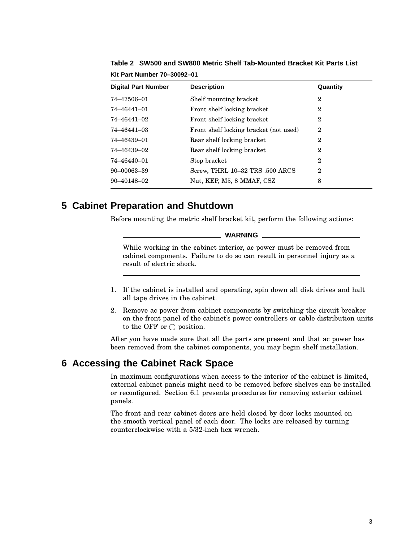| <b>Digital Part Number</b> | <b>Description</b><br>Quantity         |                |  |
|----------------------------|----------------------------------------|----------------|--|
|                            |                                        |                |  |
| 74-47506-01                | Shelf mounting bracket                 | $\mathbf 2$    |  |
| 74-46441-01                | Front shelf locking bracket            | 2              |  |
| 74-46441-02                | Front shelf locking bracket            | $\mathbf 2$    |  |
| 74-46441-03                | Front shelf locking bracket (not used) | $\overline{2}$ |  |
| 74–46439–01                | Rear shelf locking bracket             | $\mathbf 2$    |  |
| 74–46439–02                | Rear shelf locking bracket             | $\mathbf 2$    |  |
| 74-46440-01                | Stop bracket                           | 2              |  |
| 90-00063-39                | Screw, THRL 10-32 TRS .500 ARCS        | $\mathbf 2$    |  |
| $90 - 40148 - 02$          | Nut, KEP, M5, 8 MMAF, CSZ              | 8              |  |

**Table 2 SW500 and SW800 Metric Shelf Tab-Mounted Bracket Kit Parts List**

# **5 Cabinet Preparation and Shutdown**

**Kit Part Number 70–30092–01**

Before mounting the metric shelf bracket kit, perform the following actions:

#### **WARNING**

While working in the cabinet interior, ac power must be removed from cabinet components. Failure to do so can result in personnel injury as a result of electric shock.

- 1. If the cabinet is installed and operating, spin down all disk drives and halt all tape drives in the cabinet.
- 2. Remove ac power from cabinet components by switching the circuit breaker on the front panel of the cabinet's power controllers or cable distribution units to the OFF or  $\bigcirc$  position.

After you have made sure that all the parts are present and that ac power has been removed from the cabinet components, you may begin shelf installation.

# **6 Accessing the Cabinet Rack Space**

In maximum configurations when access to the interior of the cabinet is limited, external cabinet panels might need to be removed before shelves can be installed or reconfigured. Section 6.1 presents procedures for removing exterior cabinet panels.

The front and rear cabinet doors are held closed by door locks mounted on the smooth vertical panel of each door. The locks are released by turning counterclockwise with a 5/32-inch hex wrench.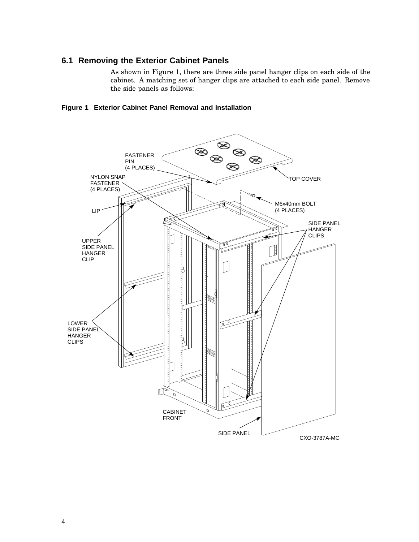## **6.1 Removing the Exterior Cabinet Panels**

As shown in Figure 1, there are three side panel hanger clips on each side of the cabinet. A matching set of hanger clips are attached to each side panel. Remove the side panels as follows:



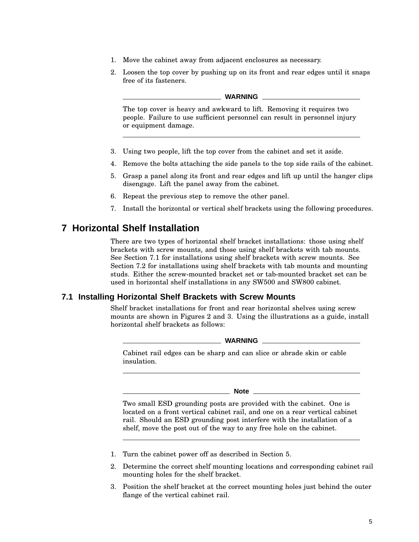- 1. Move the cabinet away from adjacent enclosures as necessary.
- 2. Loosen the top cover by pushing up on its front and rear edges until it snaps free of its fasteners.

#### **WARNING**

The top cover is heavy and awkward to lift. Removing it requires two people. Failure to use sufficient personnel can result in personnel injury or equipment damage.

- 3. Using two people, lift the top cover from the cabinet and set it aside.
- 4. Remove the bolts attaching the side panels to the top side rails of the cabinet.
- 5. Grasp a panel along its front and rear edges and lift up until the hanger clips disengage. Lift the panel away from the cabinet.
- 6. Repeat the previous step to remove the other panel.
- 7. Install the horizontal or vertical shelf brackets using the following procedures.

# **7 Horizontal Shelf Installation**

There are two types of horizontal shelf bracket installations: those using shelf brackets with screw mounts, and those using shelf brackets with tab mounts. See Section 7.1 for installations using shelf brackets with screw mounts. See Section 7.2 for installations using shelf brackets with tab mounts and mounting studs. Either the screw-mounted bracket set or tab-mounted bracket set can be used in horizontal shelf installations in any SW500 and SW800 cabinet.

## **7.1 Installing Horizontal Shelf Brackets with Screw Mounts**

Shelf bracket installations for front and rear horizontal shelves using screw mounts are shown in Figures 2 and 3. Using the illustrations as a guide, install horizontal shelf brackets as follows:

**WARNING**

Cabinet rail edges can be sharp and can slice or abrade skin or cable insulation.

**Note**

Two small ESD grounding posts are provided with the cabinet. One is located on a front vertical cabinet rail, and one on a rear vertical cabinet rail. Should an ESD grounding post interfere with the installation of a shelf, move the post out of the way to any free hole on the cabinet.

- 1. Turn the cabinet power off as described in Section 5.
- 2. Determine the correct shelf mounting locations and corresponding cabinet rail mounting holes for the shelf bracket.
- 3. Position the shelf bracket at the correct mounting holes just behind the outer flange of the vertical cabinet rail.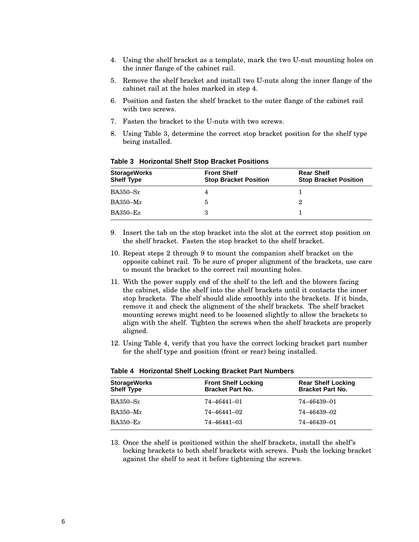- 4. Using the shelf bracket as a template, mark the two U-nut mounting holes on the inner flange of the cabinet rail.
- 5. Remove the shelf bracket and install two U-nuts along the inner flange of the cabinet rail at the holes marked in step 4.
- 6. Position and fasten the shelf bracket to the outer flange of the cabinet rail with two screws.
- 7. Fasten the bracket to the U-nuts with two screws.
- 8. Using Table 3, determine the correct stop bracket position for the shelf type being installed.

| <b>StorageWorks</b><br><b>Shelf Type</b> | <b>Front Shelf</b><br><b>Stop Bracket Position</b> | <b>Rear Shelf</b><br><b>Stop Bracket Position</b> |
|------------------------------------------|----------------------------------------------------|---------------------------------------------------|
| $BA350-Sx$                               |                                                    |                                                   |
| $BA350-Mx$                               | 5.                                                 | 9.                                                |
| $BA350 - Ex$                             | 3                                                  |                                                   |

**Table 3 Horizontal Shelf Stop Bracket Positions**

- 9. Insert the tab on the stop bracket into the slot at the correct stop position on the shelf bracket. Fasten the stop bracket to the shelf bracket.
- 10. Repeat steps 2 through 9 to mount the companion shelf bracket on the opposite cabinet rail. To be sure of proper alignment of the brackets, use care to mount the bracket to the correct rail mounting holes.
- 11. With the power supply end of the shelf to the left and the blowers facing the cabinet, slide the shelf into the shelf brackets until it contacts the inner stop brackets. The shelf should slide smoothly into the brackets. If it binds, remove it and check the alignment of the shelf brackets. The shelf bracket mounting screws might need to be loosened slightly to allow the brackets to align with the shelf. Tighten the screws when the shelf brackets are properly aligned.
- 12. Using Table 4, verify that you have the correct locking bracket part number for the shelf type and position (front or rear) being installed.

| <b>StorageWorks</b><br><b>Shelf Type</b> | <b>Front Shelf Locking</b><br><b>Bracket Part No.</b> | <b>Rear Shelf Locking</b><br><b>Bracket Part No.</b> |
|------------------------------------------|-------------------------------------------------------|------------------------------------------------------|
| $BA350-Sx$                               | 74–46441–01                                           | 74–46439–01                                          |
| $BA350-Mx$                               | 74–46441–02                                           | 74–46439–02                                          |
| $BA350 - Ex$                             | 74–46441–03                                           | 74–46439–01                                          |

#### **Table 4 Horizontal Shelf Locking Bracket Part Numbers**

13. Once the shelf is positioned within the shelf brackets, install the shelf's locking brackets to both shelf brackets with screws. Push the locking bracket against the shelf to seat it before tightening the screws.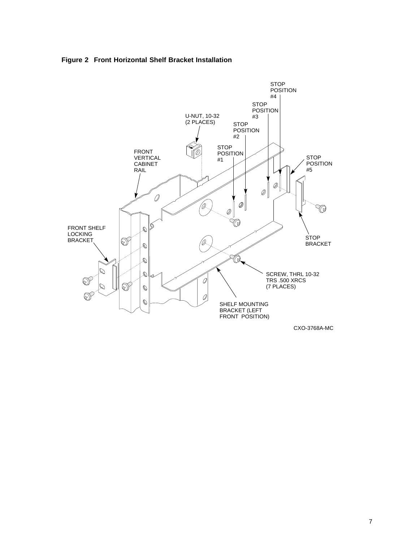



CXO-3768A-MC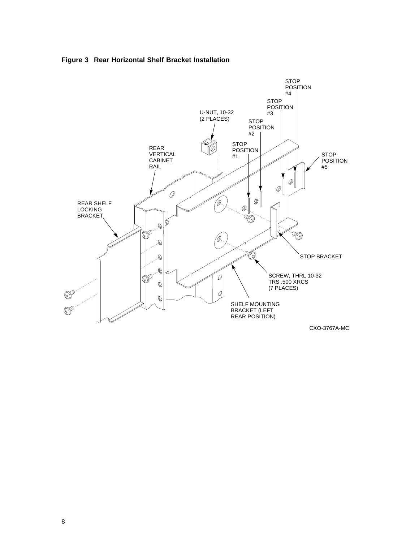

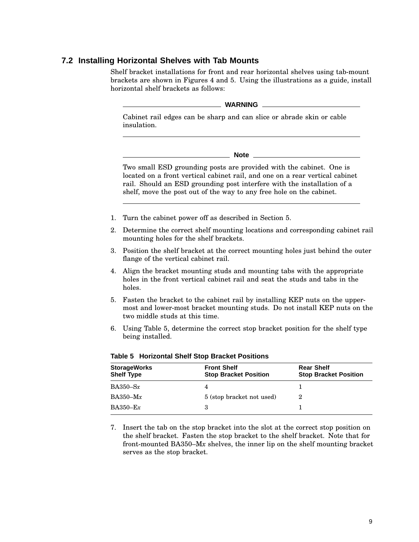## **7.2 Installing Horizontal Shelves with Tab Mounts**

Shelf bracket installations for front and rear horizontal shelves using tab-mount brackets are shown in Figures 4 and 5. Using the illustrations as a guide, install horizontal shelf brackets as follows:

**WARNING**

Cabinet rail edges can be sharp and can slice or abrade skin or cable insulation.

**Note**

Two small ESD grounding posts are provided with the cabinet. One is located on a front vertical cabinet rail, and one on a rear vertical cabinet rail. Should an ESD grounding post interfere with the installation of a shelf, move the post out of the way to any free hole on the cabinet.

- 1. Turn the cabinet power off as described in Section 5.
- 2. Determine the correct shelf mounting locations and corresponding cabinet rail mounting holes for the shelf brackets.
- 3. Position the shelf bracket at the correct mounting holes just behind the outer flange of the vertical cabinet rail.
- 4. Align the bracket mounting studs and mounting tabs with the appropriate holes in the front vertical cabinet rail and seat the studs and tabs in the holes.
- 5. Fasten the bracket to the cabinet rail by installing KEP nuts on the uppermost and lower-most bracket mounting studs. Do not install KEP nuts on the two middle studs at this time.
- 6. Using Table 5, determine the correct stop bracket position for the shelf type being installed.

| <b>StorageWorks</b><br><b>Shelf Type</b> | <b>Front Shelf</b><br><b>Stop Bracket Position</b> | <b>Rear Shelf</b><br><b>Stop Bracket Position</b> |
|------------------------------------------|----------------------------------------------------|---------------------------------------------------|
| $BA350-Sx$                               |                                                    |                                                   |
| $BA350-Mx$                               | 5 (stop bracket not used)                          |                                                   |
| $BA350 - Ex$                             |                                                    |                                                   |

**Table 5 Horizontal Shelf Stop Bracket Positions**

7. Insert the tab on the stop bracket into the slot at the correct stop position on the shelf bracket. Fasten the stop bracket to the shelf bracket. Note that for front-mounted BA350–M*x* shelves, the inner lip on the shelf mounting bracket serves as the stop bracket.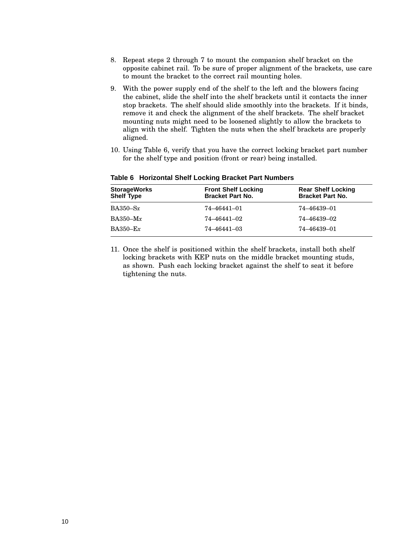- 8. Repeat steps 2 through 7 to mount the companion shelf bracket on the opposite cabinet rail. To be sure of proper alignment of the brackets, use care to mount the bracket to the correct rail mounting holes.
- 9. With the power supply end of the shelf to the left and the blowers facing the cabinet, slide the shelf into the shelf brackets until it contacts the inner stop brackets. The shelf should slide smoothly into the brackets. If it binds, remove it and check the alignment of the shelf brackets. The shelf bracket mounting nuts might need to be loosened slightly to allow the brackets to align with the shelf. Tighten the nuts when the shelf brackets are properly aligned.
- 10. Using Table 6, verify that you have the correct locking bracket part number for the shelf type and position (front or rear) being installed.

| <b>StorageWorks</b><br><b>Shelf Type</b> | <b>Front Shelf Locking</b><br><b>Bracket Part No.</b> | <b>Rear Shelf Locking</b><br><b>Bracket Part No.</b> |
|------------------------------------------|-------------------------------------------------------|------------------------------------------------------|
| $BA350-Sx$                               | 74–46441–01                                           | 74–46439–01                                          |
| $BA350-Mx$                               | 74–46441–02                                           | 74–46439–02                                          |
| $BA350 - Ex$                             | 74-46441-03                                           | 74–46439–01                                          |

**Table 6 Horizontal Shelf Locking Bracket Part Numbers**

11. Once the shelf is positioned within the shelf brackets, install both shelf locking brackets with KEP nuts on the middle bracket mounting studs, as shown. Push each locking bracket against the shelf to seat it before tightening the nuts.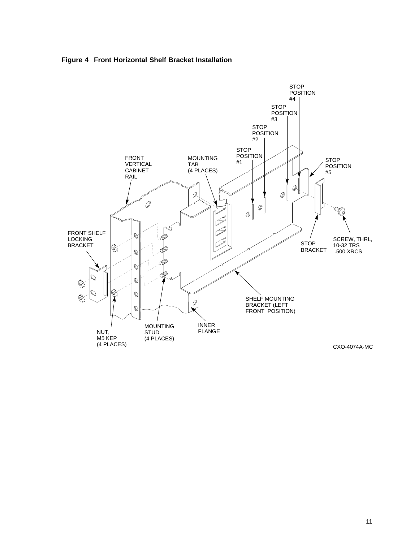



11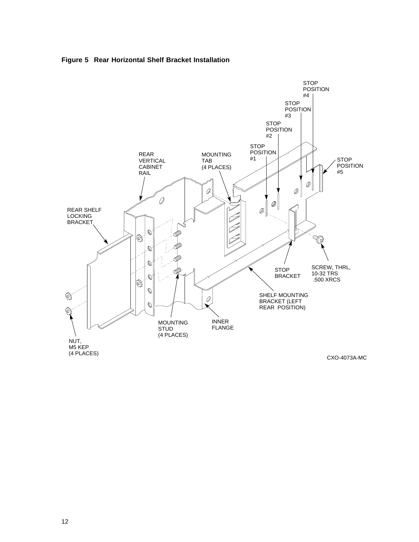



CXO-4073A-MC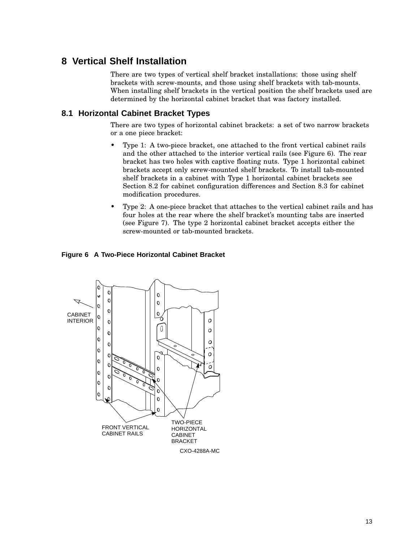# **8 Vertical Shelf Installation**

There are two types of vertical shelf bracket installations: those using shelf brackets with screw-mounts, and those using shelf brackets with tab-mounts. When installing shelf brackets in the vertical position the shelf brackets used are determined by the horizontal cabinet bracket that was factory installed.

## **8.1 Horizontal Cabinet Bracket Types**

There are two types of horizontal cabinet brackets: a set of two narrow brackets or a one piece bracket:

- Type 1: A two-piece bracket, one attached to the front vertical cabinet rails and the other attached to the interior vertical rails (see Figure 6). The rear bracket has two holes with captive floating nuts. Type 1 horizontal cabinet brackets accept only screw-mounted shelf brackets. To install tab-mounted shelf brackets in a cabinet with Type 1 horizontal cabinet brackets see Section 8.2 for cabinet configuration differences and Section 8.3 for cabinet modification procedures.
- Type 2: A one-piece bracket that attaches to the vertical cabinet rails and has four holes at the rear where the shelf bracket's mounting tabs are inserted (see Figure 7). The type 2 horizontal cabinet bracket accepts either the screw-mounted or tab-mounted brackets.

## **Figure 6 A Two-Piece Horizontal Cabinet Bracket**

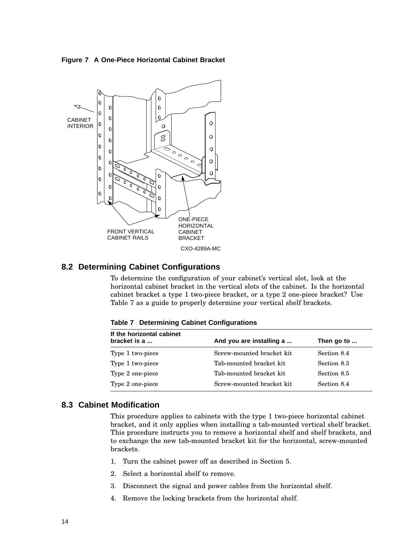**Figure 7 A One-Piece Horizontal Cabinet Bracket**



## **8.2 Determining Cabinet Configurations**

To determine the configuration of your cabinet's vertical slot, look at the horizontal cabinet bracket in the vertical slots of the cabinet. Is the horizontal cabinet bracket a type 1 two-piece bracket, or a type 2 one-piece bracket? Use Table 7 as a guide to properly determine your vertical shelf brackets.

| If the horizontal cabinet<br>bracket is a | And you are installing a   | Then go to  |  |
|-------------------------------------------|----------------------------|-------------|--|
| Type 1 two-piece                          | Screw-mounted bracket kit. | Section 8.4 |  |
| Type 1 two-piece                          | Tab-mounted bracket kit    | Section 8.3 |  |
| Type 2 one-piece                          | Tab-mounted bracket kit    | Section 8.5 |  |
| Type 2 one-piece                          | Screw-mounted bracket kit  | Section 8.4 |  |

**Table 7 Determining Cabinet Configurations**

## **8.3 Cabinet Modification**

This procedure applies to cabinets with the type 1 two-piece horizontal cabinet bracket, and it only applies when installing a tab-mounted vertical shelf bracket. This procedure instructs you to remove a horizontal shelf and shelf brackets, and to exchange the new tab-mounted bracket kit for the horizontal, screw-mounted brackets.

- 1. Turn the cabinet power off as described in Section 5.
- 2. Select a horizontal shelf to remove.
- 3. Disconnect the signal and power cables from the horizontal shelf.
- 4. Remove the locking brackets from the horizontal shelf.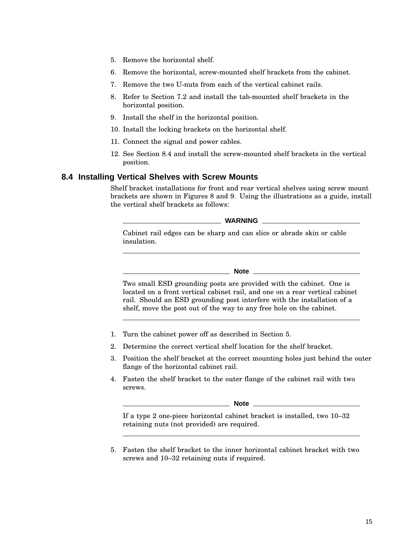- 5. Remove the horizontal shelf.
- 6. Remove the horizontal, screw-mounted shelf brackets from the cabinet.
- 7. Remove the two U-nuts from each of the vertical cabinet rails.
- 8. Refer to Section 7.2 and install the tab-mounted shelf brackets in the horizontal position.
- 9. Install the shelf in the horizontal position.
- 10. Install the locking brackets on the horizontal shelf.
- 11. Connect the signal and power cables.
- 12. See Section 8.4 and install the screw-mounted shelf brackets in the vertical position.

### **8.4 Installing Vertical Shelves with Screw Mounts**

Shelf bracket installations for front and rear vertical shelves using screw mount brackets are shown in Figures 8 and 9. Using the illustrations as a guide, install the vertical shelf brackets as follows:

**WARNING**

Cabinet rail edges can be sharp and can slice or abrade skin or cable insulation.

**Note** \_\_\_\_\_\_\_\_

Two small ESD grounding posts are provided with the cabinet. One is located on a front vertical cabinet rail, and one on a rear vertical cabinet rail. Should an ESD grounding post interfere with the installation of a shelf, move the post out of the way to any free hole on the cabinet.

- 1. Turn the cabinet power off as described in Section 5.
- 2. Determine the correct vertical shelf location for the shelf bracket.
- 3. Position the shelf bracket at the correct mounting holes just behind the outer flange of the horizontal cabinet rail.
- 4. Fasten the shelf bracket to the outer flange of the cabinet rail with two screws.

**Note**

If a type 2 one-piece horizontal cabinet bracket is installed, two 10–32 retaining nuts (not provided) are required.

5. Fasten the shelf bracket to the inner horizontal cabinet bracket with two screws and 10–32 retaining nuts if required.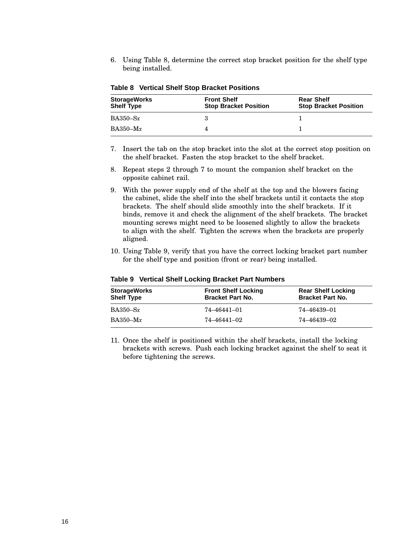6. Using Table 8, determine the correct stop bracket position for the shelf type being installed.

| <b>StorageWorks</b><br><b>Shelf Type</b> | <b>Front Shelf</b><br><b>Stop Bracket Position</b> | <b>Rear Shelf</b><br><b>Stop Bracket Position</b> |
|------------------------------------------|----------------------------------------------------|---------------------------------------------------|
| $BA350-Sx$                               |                                                    |                                                   |
| $BA350-Mx$                               |                                                    |                                                   |

**Table 8 Vertical Shelf Stop Bracket Positions**

- 7. Insert the tab on the stop bracket into the slot at the correct stop position on the shelf bracket. Fasten the stop bracket to the shelf bracket.
- 8. Repeat steps 2 through 7 to mount the companion shelf bracket on the opposite cabinet rail.
- 9. With the power supply end of the shelf at the top and the blowers facing the cabinet, slide the shelf into the shelf brackets until it contacts the stop brackets. The shelf should slide smoothly into the shelf brackets. If it binds, remove it and check the alignment of the shelf brackets. The bracket mounting screws might need to be loosened slightly to allow the brackets to align with the shelf. Tighten the screws when the brackets are properly aligned.
- 10. Using Table 9, verify that you have the correct locking bracket part number for the shelf type and position (front or rear) being installed.

| <b>StorageWorks</b><br><b>Shelf Type</b> | <b>Front Shelf Locking</b><br><b>Bracket Part No.</b> | <b>Rear Shelf Locking</b><br><b>Bracket Part No.</b> |
|------------------------------------------|-------------------------------------------------------|------------------------------------------------------|
| $BA350-Sx$                               | 74–46441–01                                           | 74–46439–01                                          |
| $BA350-Mx$                               | 74–46441–02                                           | 74–46439–02                                          |

**Table 9 Vertical Shelf Locking Bracket Part Numbers**

11. Once the shelf is positioned within the shelf brackets, install the locking brackets with screws. Push each locking bracket against the shelf to seat it before tightening the screws.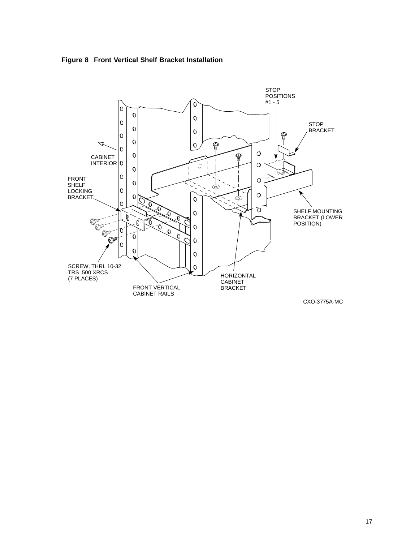



17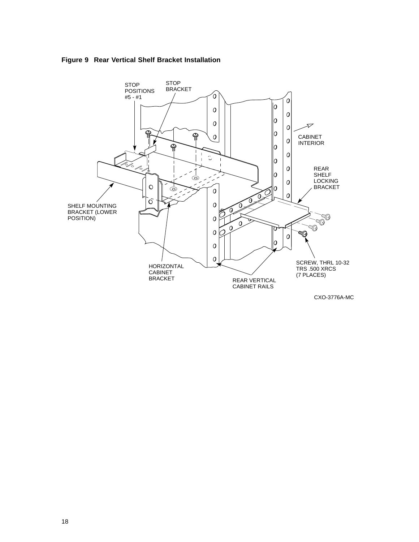



CXO-3776A-MC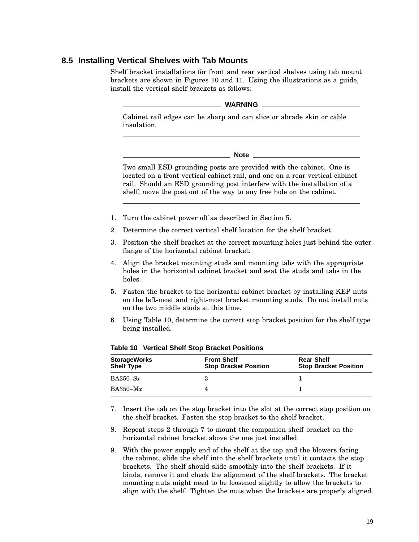## **8.5 Installing Vertical Shelves with Tab Mounts**

Shelf bracket installations for front and rear vertical shelves using tab mount brackets are shown in Figures 10 and 11. Using the illustrations as a guide, install the vertical shelf brackets as follows:

**WARNING**

Cabinet rail edges can be sharp and can slice or abrade skin or cable insulation.

**Note**

Two small ESD grounding posts are provided with the cabinet. One is located on a front vertical cabinet rail, and one on a rear vertical cabinet rail. Should an ESD grounding post interfere with the installation of a shelf, move the post out of the way to any free hole on the cabinet.

- 1. Turn the cabinet power off as described in Section 5.
- 2. Determine the correct vertical shelf location for the shelf bracket.
- 3. Position the shelf bracket at the correct mounting holes just behind the outer flange of the horizontal cabinet bracket.
- 4. Align the bracket mounting studs and mounting tabs with the appropriate holes in the horizontal cabinet bracket and seat the studs and tabs in the holes.
- 5. Fasten the bracket to the horizontal cabinet bracket by installing KEP nuts on the left-most and right-most bracket mounting studs. Do not install nuts on the two middle studs at this time.
- 6. Using Table 10, determine the correct stop bracket position for the shelf type being installed.

| <b>StorageWorks</b><br><b>Shelf Type</b> | <b>Front Shelf</b><br><b>Stop Bracket Position</b> | <b>Rear Shelf</b><br><b>Stop Bracket Position</b> |
|------------------------------------------|----------------------------------------------------|---------------------------------------------------|
| $BA350-Sx$                               |                                                    |                                                   |
| $BA350-Mx$                               |                                                    |                                                   |

| <b>Table 10 Vertical Shelf Stop Bracket Positions</b> |  |  |  |  |  |
|-------------------------------------------------------|--|--|--|--|--|
|-------------------------------------------------------|--|--|--|--|--|

7. Insert the tab on the stop bracket into the slot at the correct stop position on the shelf bracket. Fasten the stop bracket to the shelf bracket.

- 8. Repeat steps 2 through 7 to mount the companion shelf bracket on the horizontal cabinet bracket above the one just installed.
- 9. With the power supply end of the shelf at the top and the blowers facing the cabinet, slide the shelf into the shelf brackets until it contacts the stop brackets. The shelf should slide smoothly into the shelf brackets. If it binds, remove it and check the alignment of the shelf brackets. The bracket mounting nuts might need to be loosened slightly to allow the brackets to align with the shelf. Tighten the nuts when the brackets are properly aligned.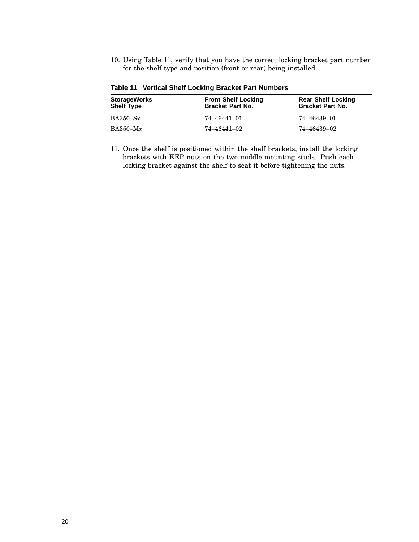10. Using Table 11, verify that you have the correct locking bracket part number for the shelf type and position (front or rear) being installed.

| <b>StorageWorks</b><br><b>Shelf Type</b> | <b>Front Shelf Locking</b><br><b>Bracket Part No.</b> | <b>Rear Shelf Locking</b><br><b>Bracket Part No.</b> |
|------------------------------------------|-------------------------------------------------------|------------------------------------------------------|
| $BA350-Sx$                               | 74–46441–01                                           | 74–46439–01                                          |
| $BA350-Mx$                               | 74–46441–02                                           | 74–46439–02                                          |

**Table 11 Vertical Shelf Locking Bracket Part Numbers**

11. Once the shelf is positioned within the shelf brackets, install the locking brackets with KEP nuts on the two middle mounting studs. Push each locking bracket against the shelf to seat it before tightening the nuts.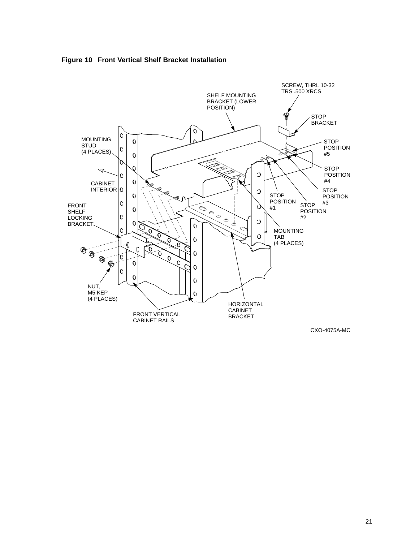

#### **Figure 10 Front Vertical Shelf Bracket Installation**

CXO-4075A-MC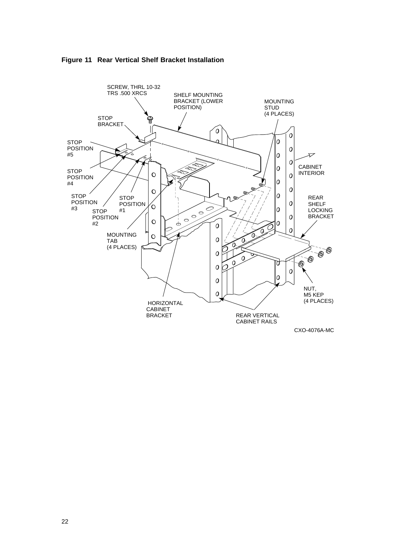

**Figure 11 Rear Vertical Shelf Bracket Installation**